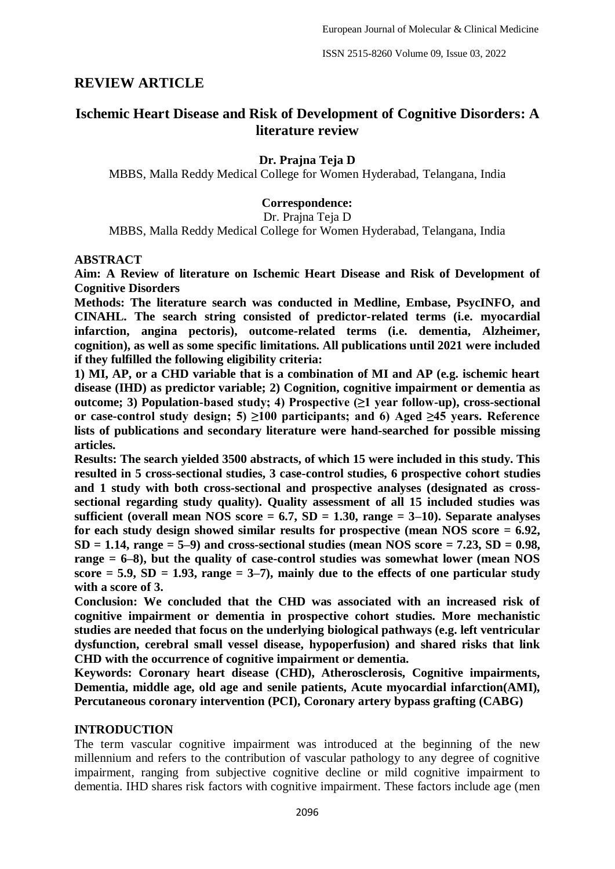# **REVIEW ARTICLE**

# **Ischemic Heart Disease and Risk of Development of Cognitive Disorders: A literature review**

## **Dr. Prajna Teja D**

MBBS, Malla Reddy Medical College for Women Hyderabad, Telangana, India

### **Correspondence:**

Dr. Prajna Teja D

MBBS, Malla Reddy Medical College for Women Hyderabad, Telangana, India

#### **ABSTRACT**

**Aim: A Review of literature on Ischemic Heart Disease and Risk of Development of Cognitive Disorders**

**Methods: The literature search was conducted in Medline, Embase, PsycINFO, and CINAHL. The search string consisted of predictor-related terms (i.e. myocardial infarction, angina pectoris), outcome-related terms (i.e. dementia, Alzheimer, cognition), as well as some specific limitations. All publications until 2021 were included if they fulfilled the following eligibility criteria:** 

**1) MI, AP, or a CHD variable that is a combination of MI and AP (e.g. ischemic heart disease (IHD) as predictor variable; 2) Cognition, cognitive impairment or dementia as outcome; 3) Population-based study; 4) Prospective (≥1 year follow-up), cross-sectional or case-control study design; 5) ≥100 participants; and 6) Aged ≥45 years. Reference lists of publications and secondary literature were hand-searched for possible missing articles.**

**Results: The search yielded 3500 abstracts, of which 15 were included in this study. This resulted in 5 cross-sectional studies, 3 case-control studies, 6 prospective cohort studies and 1 study with both cross-sectional and prospective analyses (designated as crosssectional regarding study quality). Quality assessment of all 15 included studies was sufficient (overall mean NOS score = 6.7, SD = 1.30, range = 3–10). Separate analyses for each study design showed similar results for prospective (mean NOS score = 6.92,**   $SD = 1.14$ , range  $= 5-9$ ) and cross-sectional studies (mean NOS score  $= 7.23$ ,  $SD = 0.98$ , **range = 6–8), but the quality of case-control studies was somewhat lower (mean NOS**   $score = 5.9$ ,  $SD = 1.93$ , range  $= 3-7$ ), mainly due to the effects of one particular study **with a score of 3.**

**Conclusion: We concluded that the CHD was associated with an increased risk of cognitive impairment or dementia in prospective cohort studies. More mechanistic studies are needed that focus on the underlying biological pathways (e.g. left ventricular dysfunction, cerebral small vessel disease, hypoperfusion) and shared risks that link CHD with the occurrence of cognitive impairment or dementia.**

**Keywords: Coronary heart disease (CHD), Atherosclerosis, Cognitive impairments, Dementia, middle age, old age and senile patients, Acute myocardial infarction(AMI), Percutaneous coronary intervention (PCI), Coronary artery bypass grafting (CABG)**

#### **INTRODUCTION**

The term vascular cognitive impairment was introduced at the beginning of the new millennium and refers to the contribution of vascular pathology to any degree of cognitive impairment, ranging from subjective cognitive decline or mild cognitive impairment to dementia. IHD shares risk factors with cognitive impairment. These factors include age (men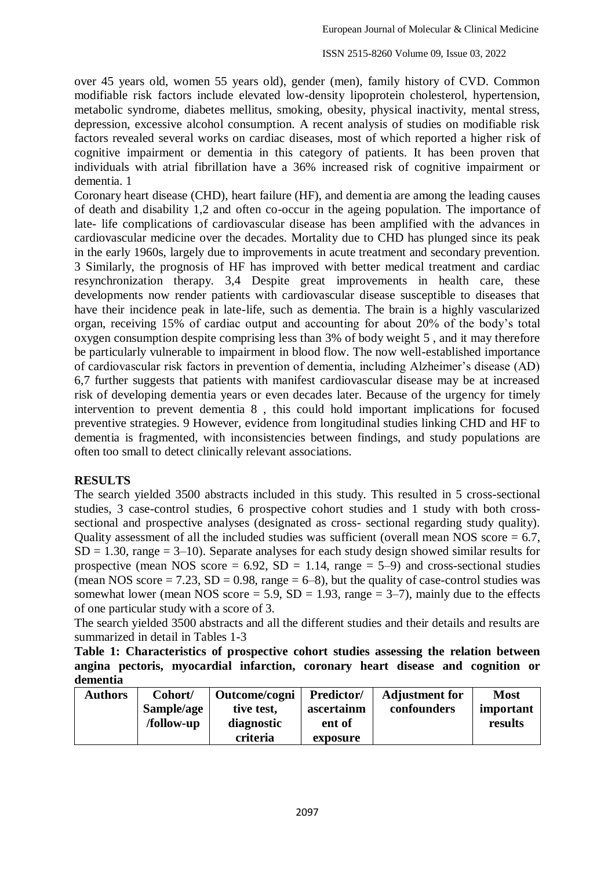over 45 years old, women 55 years old), gender (men), family history of CVD. Common modifiable risk factors include elevated low-density lipoprotein cholesterol, hypertension, metabolic syndrome, diabetes mellitus, smoking, obesity, physical inactivity, mental stress, depression, excessive alcohol consumption. A recent analysis of studies on modifiable risk factors revealed several works on cardiac diseases, most of which reported a higher risk of cognitive impairment or dementia in this category of patients. It has been proven that individuals with atrial fibrillation have a 36% increased risk of cognitive impairment or dementia. 1

Coronary heart disease (CHD), heart failure (HF), and dementia are among the leading causes of death and disability 1,2 and often co-occur in the ageing population. The importance of late- life complications of cardiovascular disease has been amplified with the advances in cardiovascular medicine over the decades. Mortality due to CHD has plunged since its peak in the early 1960s, largely due to improvements in acute treatment and secondary prevention. 3 Similarly, the prognosis of HF has improved with better medical treatment and cardiac resynchronization therapy. 3,4 Despite great improvements in health care, these developments now render patients with cardiovascular disease susceptible to diseases that have their incidence peak in late-life, such as dementia. The brain is a highly vascularized organ, receiving 15% of cardiac output and accounting for about 20% of the body's total oxygen consumption despite comprising less than 3% of body weight 5 , and it may therefore be particularly vulnerable to impairment in blood flow. The now well-established importance of cardiovascular risk factors in prevention of dementia, including Alzheimer's disease (AD) 6,7 further suggests that patients with manifest cardiovascular disease may be at increased risk of developing dementia years or even decades later. Because of the urgency for timely intervention to prevent dementia 8 , this could hold important implications for focused preventive strategies. 9 However, evidence from longitudinal studies linking CHD and HF to dementia is fragmented, with inconsistencies between findings, and study populations are often too small to detect clinically relevant associations.

## **RESULTS**

The search yielded 3500 abstracts included in this study. This resulted in 5 cross-sectional studies, 3 case-control studies, 6 prospective cohort studies and 1 study with both crosssectional and prospective analyses (designated as cross- sectional regarding study quality). Quality assessment of all the included studies was sufficient (overall mean NOS score  $= 6.7$ ,  $SD = 1.30$ , range  $= 3-10$ ). Separate analyses for each study design showed similar results for prospective (mean NOS score =  $6.92$ , SD = 1.14, range =  $5-9$ ) and cross-sectional studies (mean NOS score  $= 7.23$ , SD  $= 0.98$ , range  $= 6-8$ ), but the quality of case-control studies was somewhat lower (mean NOS score = 5.9,  $SD = 1.93$ , range = 3–7), mainly due to the effects of one particular study with a score of 3.

The search yielded 3500 abstracts and all the different studies and their details and results are summarized in detail in Tables 1-3

**Table 1: Characteristics of prospective cohort studies assessing the relation between angina pectoris, myocardial infarction, coronary heart disease and cognition or dementia**

| <b>Authors</b> | Cohort/    | Outcome/cogni | <b>Predictor/</b> | <b>Adjustment for</b> | <b>Most</b> |
|----------------|------------|---------------|-------------------|-----------------------|-------------|
|                | Sample/age | tive test,    | ascertainm        | confounders           | important   |
|                | /follow-up | diagnostic    | ent of            |                       | results     |
|                |            | criteria      | exposure          |                       |             |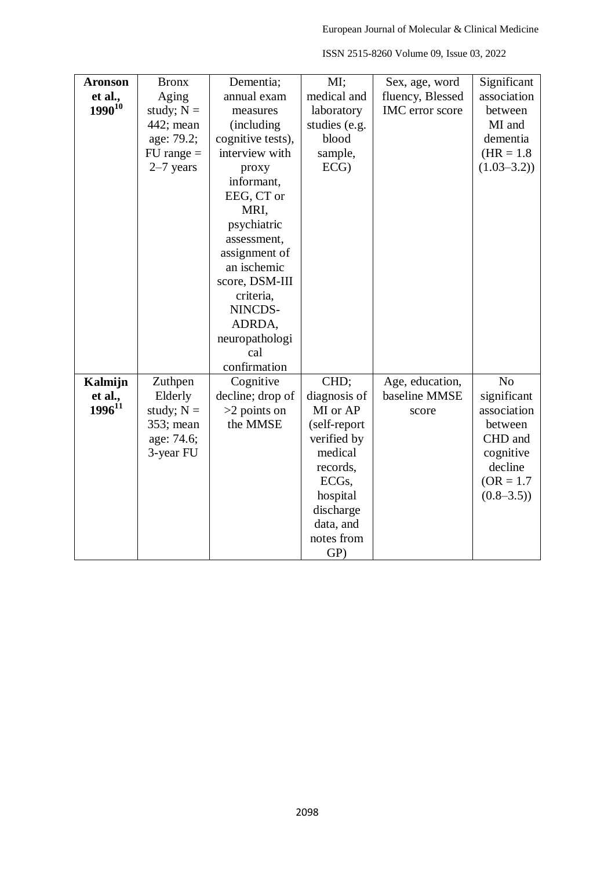| <b>Aronson</b> | <b>Bronx</b>   | Dementia;         | MI;                | Sex, age, word   | Significant    |
|----------------|----------------|-------------------|--------------------|------------------|----------------|
| et al.,        | Aging          | annual exam       | medical and        | fluency, Blessed | association    |
| $1990^{10}$    | study; $N =$   | measures          | laboratory         | IMC error score  | between        |
|                | 442; mean      | (including        | studies (e.g.      |                  | MI and         |
|                | age: 79.2;     | cognitive tests), | blood              |                  | dementia       |
|                | $FU$ range $=$ | interview with    | sample,            |                  | $(HR = 1.8)$   |
|                | $2-7$ years    | proxy             | ECG                |                  | $(1.03 - 3.2)$ |
|                |                | informant,        |                    |                  |                |
|                |                | EEG, CT or        |                    |                  |                |
|                |                | MRI,              |                    |                  |                |
|                |                | psychiatric       |                    |                  |                |
|                |                | assessment,       |                    |                  |                |
|                |                | assignment of     |                    |                  |                |
|                |                | an ischemic       |                    |                  |                |
|                |                | score, DSM-III    |                    |                  |                |
|                |                | criteria,         |                    |                  |                |
|                |                | NINCDS-           |                    |                  |                |
|                |                | ADRDA,            |                    |                  |                |
|                |                | neuropathologi    |                    |                  |                |
|                |                | cal               |                    |                  |                |
|                |                | confirmation      |                    |                  |                |
| Kalmijn        | Zuthpen        | Cognitive         | CHD;               | Age, education,  | N <sub>0</sub> |
| et al.,        | Elderly        | decline; drop of  | diagnosis of       | baseline MMSE    | significant    |
| $1996^{11}$    | study; $N =$   | $>2$ points on    | MI or AP           | score            | association    |
|                | 353; mean      | the MMSE          | (self-report       |                  | between        |
|                | age: 74.6;     |                   | verified by        |                  | CHD and        |
|                | 3-year FU      |                   | medical            |                  | cognitive      |
|                |                |                   | records,           |                  | decline        |
|                |                |                   | ECG <sub>s</sub> , |                  | $(OR = 1.7)$   |
|                |                |                   | hospital           |                  | $(0.8 - 3.5)$  |
|                |                |                   | discharge          |                  |                |
|                |                |                   | data, and          |                  |                |
|                |                |                   | notes from         |                  |                |
|                |                |                   | GP)                |                  |                |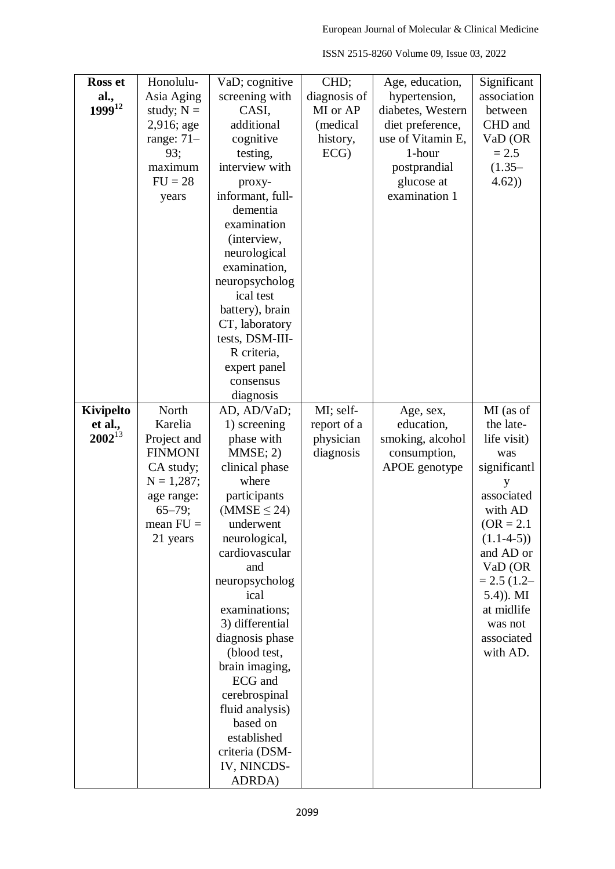| ISSN 2515-8260 Volume 09, Issue 03, 2022 |  |  |  |
|------------------------------------------|--|--|--|
|------------------------------------------|--|--|--|

| <b>Ross et</b> | Honolulu-      | VaD; cognitive             | CHD;         | Age, education,   | Significant    |
|----------------|----------------|----------------------------|--------------|-------------------|----------------|
| al.,           | Asia Aging     | screening with             | diagnosis of | hypertension,     | association    |
| 199912         | study; $N =$   | CASI,                      | MI or AP     | diabetes, Western | between        |
|                | 2,916; age     | additional                 | (medical     | diet preference,  | CHD and        |
|                | range: $71-$   | cognitive                  | history,     | use of Vitamin E, | VaD (OR        |
|                | 93;            |                            |              | 1-hour            | $= 2.5$        |
|                | maximum        | testing,<br>interview with | ECG          |                   |                |
|                |                |                            |              | postprandial      | $(1.35 -$      |
|                | $FU = 28$      | proxy-                     |              | glucose at        | 4.62)          |
|                | years          | informant, full-           |              | examination 1     |                |
|                |                | dementia                   |              |                   |                |
|                |                | examination                |              |                   |                |
|                |                | (interview,                |              |                   |                |
|                |                | neurological               |              |                   |                |
|                |                | examination,               |              |                   |                |
|                |                | neuropsycholog             |              |                   |                |
|                |                | ical test                  |              |                   |                |
|                |                | battery), brain            |              |                   |                |
|                |                | CT, laboratory             |              |                   |                |
|                |                | tests, DSM-III-            |              |                   |                |
|                |                | R criteria,                |              |                   |                |
|                |                | expert panel               |              |                   |                |
|                |                | consensus                  |              |                   |                |
|                |                | diagnosis                  |              |                   |                |
| Kivipelto      | North          | AD, AD/VaD;                | MI; self-    | Age, sex,         | MI (as of      |
| et al.,        | Karelia        | 1) screening               | report of a  | education,        | the late-      |
| $2002^{13}$    | Project and    | phase with                 | physician    | smoking, alcohol  | life visit)    |
|                | <b>FINMONI</b> | MMSE; 2)                   | diagnosis    | consumption,      | was            |
|                | CA study;      | clinical phase             |              | APOE genotype     | significantl   |
|                | $N = 1,287;$   | where                      |              |                   | y              |
|                | age range:     | participants               |              |                   | associated     |
|                | $65 - 79;$     | (MMSE $\leq$ 24)           |              |                   | with AD        |
|                | mean $FU =$    | underwent                  |              |                   | $(OR = 2.1)$   |
|                | 21 years       | neurological,              |              |                   | $(1.1-4-5))$   |
|                |                | cardiovascular             |              |                   | and AD or      |
|                |                | and                        |              |                   | VaD (OR        |
|                |                | neuropsycholog             |              |                   | $= 2.5 (1.2 -$ |
|                |                | ical                       |              |                   | $(5.4)$ ). MI  |
|                |                | examinations;              |              |                   | at midlife     |
|                |                | 3) differential            |              |                   | was not        |
|                |                | diagnosis phase            |              |                   | associated     |
|                |                | (blood test,               |              |                   | with AD.       |
|                |                |                            |              |                   |                |
|                |                | brain imaging,<br>ECG and  |              |                   |                |
|                |                |                            |              |                   |                |
|                |                | cerebrospinal              |              |                   |                |
|                |                | fluid analysis)            |              |                   |                |
|                |                | based on                   |              |                   |                |
|                |                | established                |              |                   |                |
|                |                | criteria (DSM-             |              |                   |                |
|                |                | IV, NINCDS-                |              |                   |                |
|                |                | ADRDA)                     |              |                   |                |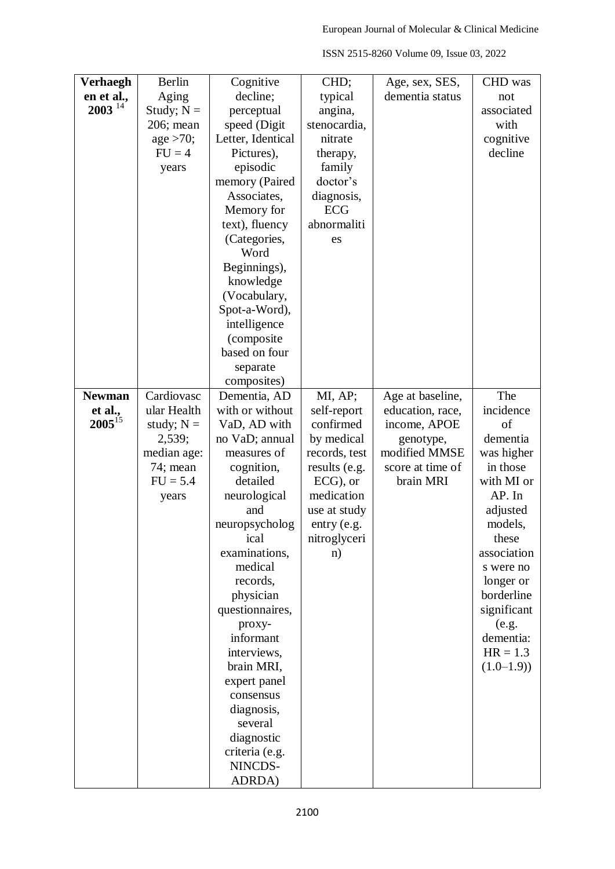| Verhaegh      | <b>Berlin</b> | Cognitive                 | CHD;          | Age, sex, SES,   | CHD was            |
|---------------|---------------|---------------------------|---------------|------------------|--------------------|
|               |               |                           |               |                  |                    |
| en et al.,    | Aging         | decline;                  | typical       | dementia status  | not                |
| $2003^{14}$   | Study; $N =$  | perceptual                | angina,       |                  | associated         |
|               | 206; mean     | speed (Digit              | stenocardia,  |                  | with               |
|               | age > 70;     | Letter, Identical         | nitrate       |                  | cognitive          |
|               | $FU = 4$      | Pictures),                | therapy,      |                  | decline            |
|               | years         | episodic                  | family        |                  |                    |
|               |               | memory (Paired            | doctor's      |                  |                    |
|               |               | Associates,               | diagnosis,    |                  |                    |
|               |               | Memory for                | <b>ECG</b>    |                  |                    |
|               |               | text), fluency            | abnormaliti   |                  |                    |
|               |               | (Categories,              | es            |                  |                    |
|               |               | Word                      |               |                  |                    |
|               |               | Beginnings),              |               |                  |                    |
|               |               | knowledge                 |               |                  |                    |
|               |               | (Vocabulary,              |               |                  |                    |
|               |               | Spot-a-Word),             |               |                  |                    |
|               |               | intelligence              |               |                  |                    |
|               |               | (composite                |               |                  |                    |
|               |               | based on four             |               |                  |                    |
|               |               | separate                  |               |                  |                    |
|               |               | composites)               |               |                  |                    |
| <b>Newman</b> | Cardiovasc    | Dementia, AD              | MI, AP;       | Age at baseline, | The                |
| et al.,       | ular Health   | with or without           | self-report   | education, race, | incidence          |
| $2005^{15}$   | study; $N =$  | VaD, AD with              | confirmed     | income, APOE     | of                 |
|               | 2,539;        | no VaD; annual            | by medical    | genotype,        | dementia           |
|               | median age:   | measures of               | records, test | modified MMSE    | was higher         |
|               | 74; mean      | cognition,                | results (e.g. | score at time of | in those           |
|               | $FU = 5.4$    | detailed                  | $ECG$ , or    | brain MRI        | with MI or         |
|               | years         | neurological              | medication    |                  | AP. In             |
|               |               | and                       | use at study  |                  | adjusted           |
|               |               | neuropsycholog            | entry (e.g.   |                  | models,            |
|               |               | ical                      | nitroglyceri  |                  | these              |
|               |               | examinations,             | n)            |                  | association        |
|               |               | medical                   |               |                  | s were no          |
|               |               | records,                  |               |                  | longer or          |
|               |               | physician                 |               |                  | borderline         |
|               |               | questionnaires,           |               |                  | significant        |
|               |               |                           |               |                  |                    |
|               |               | proxy-<br>informant       |               |                  | (e.g.<br>dementia: |
|               |               |                           |               |                  | $HR = 1.3$         |
|               |               | interviews,               |               |                  |                    |
|               |               | brain MRI,                |               |                  | $(1.0-1.9)$        |
|               |               | expert panel<br>consensus |               |                  |                    |
|               |               |                           |               |                  |                    |
|               |               | diagnosis,<br>several     |               |                  |                    |
|               |               |                           |               |                  |                    |
|               |               | diagnostic                |               |                  |                    |
|               |               | criteria (e.g.            |               |                  |                    |
|               |               | NINCDS-                   |               |                  |                    |
|               |               | ADRDA)                    |               |                  |                    |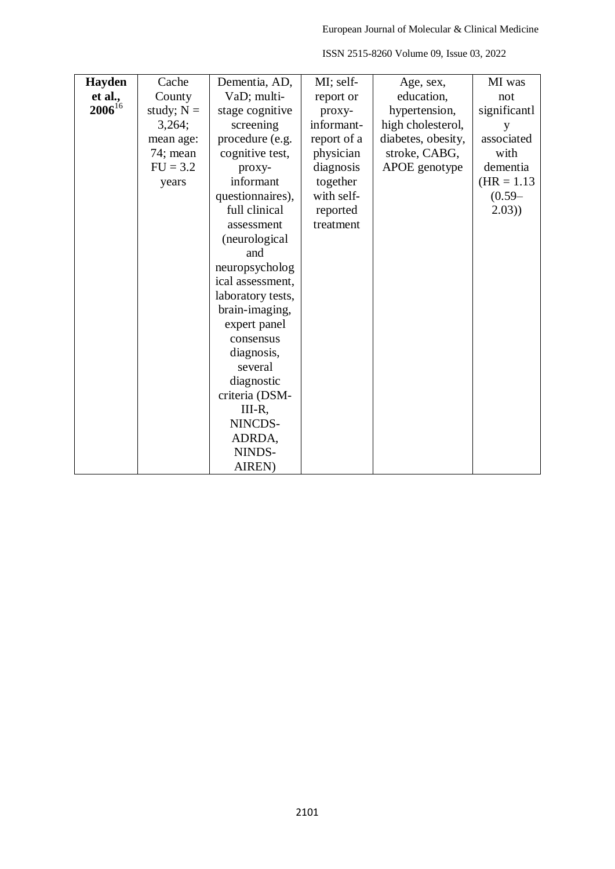| Hayden      | Cache        | Dementia, AD,     | MI; self-   | Age, sex,          | MI was        |
|-------------|--------------|-------------------|-------------|--------------------|---------------|
| et al.,     | County       | VaD; multi-       | report or   | education,         | not           |
| $2006^{16}$ | study; $N =$ | stage cognitive   | proxy-      | hypertension,      | significantl  |
|             | 3,264;       | screening         | informant-  | high cholesterol,  | y             |
|             | mean age:    | procedure (e.g.   | report of a | diabetes, obesity, | associated    |
|             | 74; mean     | cognitive test,   | physician   | stroke, CABG,      | with          |
|             | $FU = 3.2$   | proxy-            | diagnosis   | APOE genotype      | dementia      |
|             | years        | informant         | together    |                    | $(HR = 1.13)$ |
|             |              | questionnaires),  | with self-  |                    | $(0.59 -$     |
|             |              | full clinical     | reported    |                    | 2.03)         |
|             |              | assessment        | treatment   |                    |               |
|             |              | (neurological     |             |                    |               |
|             |              | and               |             |                    |               |
|             |              | neuropsycholog    |             |                    |               |
|             |              | ical assessment,  |             |                    |               |
|             |              | laboratory tests, |             |                    |               |
|             |              | brain-imaging,    |             |                    |               |
|             |              | expert panel      |             |                    |               |
|             |              | consensus         |             |                    |               |
|             |              | diagnosis,        |             |                    |               |
|             |              | several           |             |                    |               |
|             |              | diagnostic        |             |                    |               |
|             |              | criteria (DSM-    |             |                    |               |
|             |              | III-R,            |             |                    |               |
|             |              | NINCDS-           |             |                    |               |
|             |              | ADRDA,            |             |                    |               |
|             |              | NINDS-            |             |                    |               |
|             |              | AIREN)            |             |                    |               |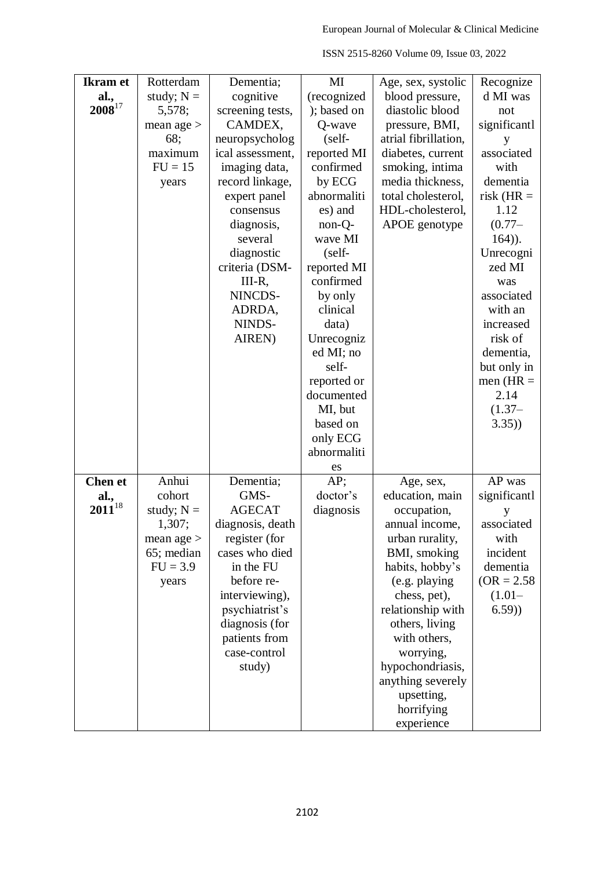| <b>Ikram</b> et | Rotterdam    | Dementia;        | MI          | Age, sex, systolic   | Recognize     |
|-----------------|--------------|------------------|-------------|----------------------|---------------|
|                 |              |                  |             |                      |               |
| al.,            | study; $N =$ | cognitive        | (recognized | blood pressure,      | d MI was      |
| $2008^{17}$     | 5,578;       | screening tests, | ); based on | diastolic blood      | not           |
|                 | mean age $>$ | CAMDEX,          | Q-wave      | pressure, BMI,       | significantl  |
|                 | 68;          | neuropsycholog   | (self-      | atrial fibrillation, | y             |
|                 | maximum      | ical assessment, | reported MI | diabetes, current    | associated    |
|                 | $FU = 15$    | imaging data,    | confirmed   | smoking, intima      | with          |
|                 | years        | record linkage,  | by ECG      | media thickness,     | dementia      |
|                 |              | expert panel     | abnormaliti | total cholesterol,   | risk ( $HR =$ |
|                 |              | consensus        | es) and     | HDL-cholesterol,     | 1.12          |
|                 |              | diagnosis,       | non-Q-      | APOE genotype        | $(0.77 -$     |
|                 |              | several          | wave MI     |                      | $164)$ ).     |
|                 |              | diagnostic       | $(self-$    |                      | Unrecogni     |
|                 |              | criteria (DSM-   | reported MI |                      | zed MI        |
|                 |              | III-R,           | confirmed   |                      | was           |
|                 |              | NINCDS-          | by only     |                      | associated    |
|                 |              | ADRDA,           | clinical    |                      | with an       |
|                 |              | NINDS-           |             |                      |               |
|                 |              |                  | data)       |                      | increased     |
|                 |              | AIREN)           | Unrecogniz  |                      | risk of       |
|                 |              |                  | ed MI; no   |                      | dementia,     |
|                 |              |                  | self-       |                      | but only in   |
|                 |              |                  | reported or |                      | men $(HR =$   |
|                 |              |                  | documented  |                      | 2.14          |
|                 |              |                  | MI, but     |                      | $(1.37 -$     |
|                 |              |                  | based on    |                      | 3.35)         |
|                 |              |                  | only ECG    |                      |               |
|                 |              |                  | abnormaliti |                      |               |
|                 |              |                  | es          |                      |               |
| <b>Chen et</b>  | Anhui        | Dementia;        | AP;         | Age, sex,            | AP was        |
| al.,            | cohort       | GMS-             | doctor's    | education, main      | significantl  |
| $2011^{18}$     | study; $N =$ | <b>AGECAT</b>    | diagnosis   | occupation,          | у             |
|                 | 1,307;       | diagnosis, death |             | annual income,       | associated    |
|                 | mean age $>$ | register (for    |             | urban rurality,      | with          |
|                 | 65; median   | cases who died   |             | BMI, smoking         | incident      |
|                 | $FU = 3.9$   | in the FU        |             | habits, hobby's      | dementia      |
|                 | years        | before re-       |             | (e.g. playing        | $(OR = 2.58)$ |
|                 |              | interviewing),   |             | chess, pet),         | $(1.01 -$     |
|                 |              | psychiatrist's   |             | relationship with    | (6.59)        |
|                 |              |                  |             |                      |               |
|                 |              | diagnosis (for   |             | others, living       |               |
|                 |              | patients from    |             | with others,         |               |
|                 |              | case-control     |             | worrying,            |               |
|                 |              | study)           |             | hypochondriasis,     |               |
|                 |              |                  |             | anything severely    |               |
|                 |              |                  |             | upsetting,           |               |
|                 |              |                  |             | horrifying           |               |
|                 |              |                  |             | experience           |               |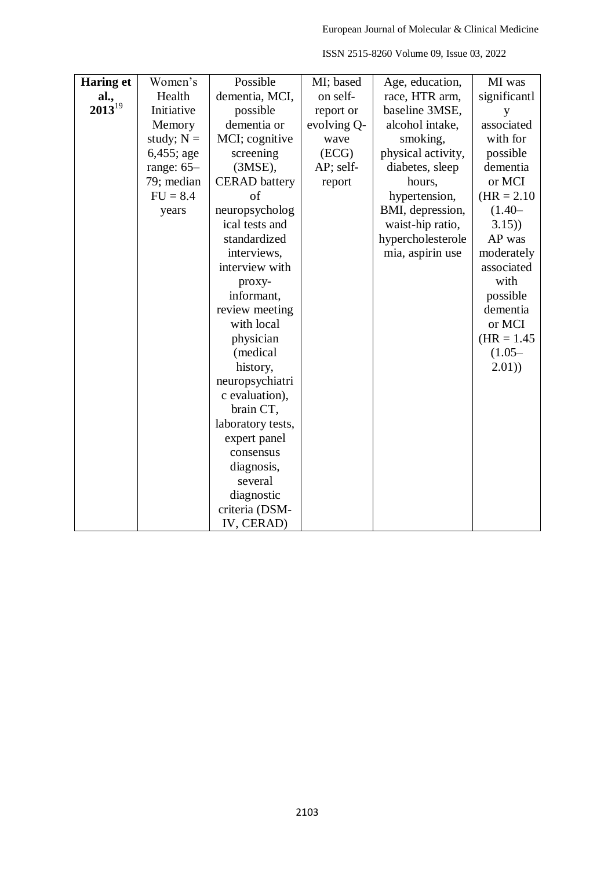| <b>Haring et</b> | Women's      | Possible             | MI; based   | Age, education,    | MI was        |
|------------------|--------------|----------------------|-------------|--------------------|---------------|
| al.,             | Health       | dementia, MCI,       | on self-    | race, HTR arm,     | significantl  |
| $2013^{19}$      | Initiative   | possible             | report or   | baseline 3MSE,     | y             |
|                  | Memory       | dementia or          | evolving Q- | alcohol intake,    | associated    |
|                  | study; $N =$ | MCI; cognitive       | wave        | smoking,           | with for      |
|                  | $6,455;$ age | screening            | (ECG)       | physical activity, | possible      |
|                  | range: $65-$ | $(3MSE)$ ,           | AP; self-   | diabetes, sleep    | dementia      |
|                  | 79; median   | <b>CERAD</b> battery | report      | hours,             | or MCI        |
|                  | $FU = 8.4$   | of                   |             | hypertension,      | $(HR = 2.10)$ |
|                  | years        | neuropsycholog       |             | BMI, depression,   | $(1.40 -$     |
|                  |              | ical tests and       |             | waist-hip ratio,   | 3.15)         |
|                  |              | standardized         |             | hypercholesterole  | AP was        |
|                  |              | interviews,          |             | mia, aspirin use   | moderately    |
|                  |              | interview with       |             |                    | associated    |
|                  |              | proxy-               |             |                    | with          |
|                  |              | informant,           |             |                    | possible      |
|                  |              | review meeting       |             |                    | dementia      |
|                  |              | with local           |             |                    | or MCI        |
|                  |              | physician            |             |                    | $(HR = 1.45)$ |
|                  |              | (medical             |             |                    | $(1.05 -$     |
|                  |              | history,             |             |                    | (2.01)        |
|                  |              | neuropsychiatri      |             |                    |               |
|                  |              | c evaluation),       |             |                    |               |
|                  |              | brain CT,            |             |                    |               |
|                  |              | laboratory tests,    |             |                    |               |
|                  |              | expert panel         |             |                    |               |
|                  |              | consensus            |             |                    |               |
|                  |              | diagnosis,           |             |                    |               |
|                  |              | several              |             |                    |               |
|                  |              | diagnostic           |             |                    |               |
|                  |              | criteria (DSM-       |             |                    |               |
|                  |              | IV, CERAD)           |             |                    |               |

ISSN 2515-8260 Volume 09, Issue 03, 2022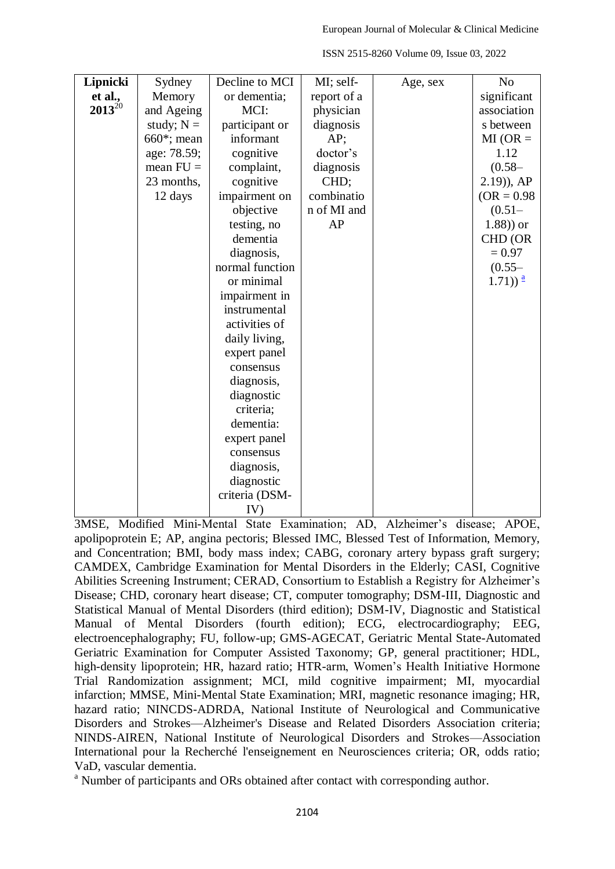| Lipnicki    | Sydney         | Decline to MCI  | MI; self-   | Age, sex | N <sub>o</sub>                               |
|-------------|----------------|-----------------|-------------|----------|----------------------------------------------|
| et al.,     | Memory         | or dementia;    | report of a |          | significant                                  |
| $2013^{20}$ | and Ageing     | MCI:            | physician   |          | association                                  |
|             | study; $N =$   | participant or  | diagnosis   |          | s between                                    |
|             | $660^*$ ; mean | informant       | $AP$ ;      |          | $MI(OR =$                                    |
|             | age: 78.59;    | cognitive       | doctor's    |          | 1.12                                         |
|             | mean $FU =$    | complaint,      | diagnosis   |          | $(0.58 -$                                    |
|             | 23 months,     | cognitive       | CHD;        |          | $(2.19)$ , AP                                |
|             | 12 days        | impairment on   | combinatio  |          | $(OR = 0.98)$                                |
|             |                | objective       | n of MI and |          | $(0.51 -$                                    |
|             |                | testing, no     | AP          |          | $(1.88)$ ) or                                |
|             |                | dementia        |             |          | CHD (OR                                      |
|             |                | diagnosis,      |             |          | $= 0.97$                                     |
|             |                | normal function |             |          | $(0.55 -$                                    |
|             |                | or minimal      |             |          | $(1.71)$ <sup><math>\frac{a}{2}</math></sup> |
|             |                | impairment in   |             |          |                                              |
|             |                | instrumental    |             |          |                                              |
|             |                | activities of   |             |          |                                              |
|             |                | daily living,   |             |          |                                              |
|             |                | expert panel    |             |          |                                              |
|             |                | consensus       |             |          |                                              |
|             |                | diagnosis,      |             |          |                                              |
|             |                | diagnostic      |             |          |                                              |
|             |                | criteria;       |             |          |                                              |
|             |                | dementia:       |             |          |                                              |
|             |                | expert panel    |             |          |                                              |
|             |                | consensus       |             |          |                                              |
|             |                | diagnosis,      |             |          |                                              |
|             |                | diagnostic      |             |          |                                              |
|             |                | criteria (DSM-  |             |          |                                              |
|             |                | IV)             |             |          |                                              |

ISSN 2515-8260 Volume 09, Issue 03, 2022

3MSE, Modified Mini-Mental State Examination; AD, Alzheimer's disease; APOE, apolipoprotein E; AP, angina pectoris; Blessed IMC, Blessed Test of Information, Memory, and Concentration; BMI, body mass index; CABG, coronary artery bypass graft surgery; CAMDEX, Cambridge Examination for Mental Disorders in the Elderly; CASI, Cognitive Abilities Screening Instrument; CERAD, Consortium to Establish a Registry for Alzheimer's Disease; CHD, coronary heart disease; CT, computer tomography; DSM-III, Diagnostic and Statistical Manual of Mental Disorders (third edition); DSM-IV, Diagnostic and Statistical Manual of Mental Disorders (fourth edition); ECG, electrocardiography; EEG, electroencephalography; FU, follow-up; GMS-AGECAT, Geriatric Mental State-Automated Geriatric Examination for Computer Assisted Taxonomy; GP, general practitioner; HDL, high-density lipoprotein; HR, hazard ratio; HTR-arm, Women's Health Initiative Hormone Trial Randomization assignment; MCI, mild cognitive impairment; MI, myocardial infarction; MMSE, Mini-Mental State Examination; MRI, magnetic resonance imaging; HR, hazard ratio; NINCDS-ADRDA, National Institute of Neurological and Communicative Disorders and Strokes—Alzheimer's Disease and Related Disorders Association criteria; NINDS-AIREN, National Institute of Neurological Disorders and Strokes—Association International pour la Recherché l'enseignement en Neurosciences criteria; OR, odds ratio; VaD, vascular dementia.

<sup>a</sup> Number of participants and ORs obtained after contact with corresponding author.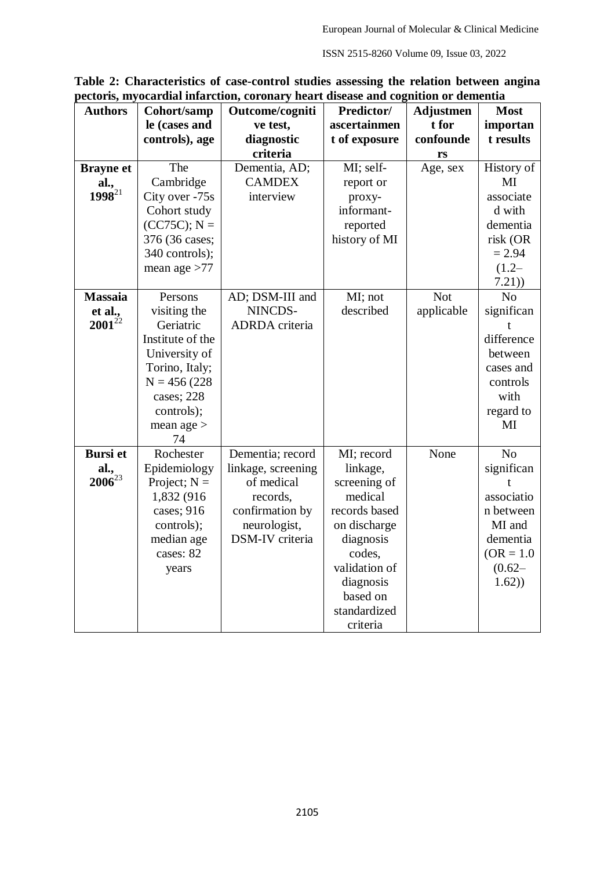| <b>Authors</b>   | Cohort/samp      | Outcome/cogniti    | Predictor/    | <b>Adjustmen</b> | <b>Most</b>    |
|------------------|------------------|--------------------|---------------|------------------|----------------|
|                  | le (cases and    | ve test,           | ascertainmen  | t for            | importan       |
|                  | controls), age   | diagnostic         | t of exposure | confounde        | t results      |
|                  |                  | criteria           |               | rs               |                |
| <b>Brayne</b> et | The              | Dementia, AD;      | MI; self-     | Age, sex         | History of     |
| al.,             | Cambridge        | <b>CAMDEX</b>      | report or     |                  | MI             |
| $1998^{21}$      | City over -75s   | interview          | proxy-        |                  | associate      |
|                  | Cohort study     |                    | informant-    |                  | d with         |
|                  | $(CC75C)$ ; N =  |                    | reported      |                  | dementia       |
|                  | 376 (36 cases;   |                    | history of MI |                  | risk (OR       |
|                  | 340 controls);   |                    |               |                  | $= 2.94$       |
|                  | mean age $>77$   |                    |               |                  | $(1.2 -$       |
|                  |                  |                    |               |                  | 7.21)          |
| <b>Massaia</b>   | Persons          | AD; DSM-III and    | MI; not       | <b>Not</b>       | N <sub>o</sub> |
| et al.,          | visiting the     | NINCDS-            | described     | applicable       | significan     |
| $2001^{22}$      | Geriatric        | ADRDA criteria     |               |                  | t              |
|                  | Institute of the |                    |               |                  | difference     |
|                  | University of    |                    |               |                  | between        |
|                  | Torino, Italy;   |                    |               |                  | cases and      |
|                  | $N = 456(228)$   |                    |               |                  | controls       |
|                  | cases; 228       |                    |               |                  | with           |
|                  | controls);       |                    |               |                  | regard to      |
|                  | mean age $>$     |                    |               |                  | MI             |
|                  | 74               |                    |               |                  |                |
| <b>Bursi</b> et  | Rochester        | Dementia; record   | MI; record    | None             | N <sub>o</sub> |
| al.,             | Epidemiology     | linkage, screening | linkage,      |                  | significan     |
| $2006^{23}$      | Project; $N =$   | of medical         | screening of  |                  | t              |
|                  | 1,832 (916)      | records,           | medical       |                  | associatio     |
|                  | cases; 916       | confirmation by    | records based |                  | n between      |
|                  | controls);       | neurologist,       | on discharge  |                  | MI and         |
|                  | median age       | DSM-IV criteria    | diagnosis     |                  | dementia       |
|                  | cases: 82        |                    | codes,        |                  | $(OR = 1.0)$   |
|                  | years            |                    | validation of |                  | $(0.62 -$      |
|                  |                  |                    | diagnosis     |                  | 1.62)          |
|                  |                  |                    | based on      |                  |                |
|                  |                  |                    | standardized  |                  |                |
|                  |                  |                    | criteria      |                  |                |

**Table 2: Characteristics of case-control studies assessing the relation between angina pectoris, myocardial infarction, coronary heart disease and cognition or dementia**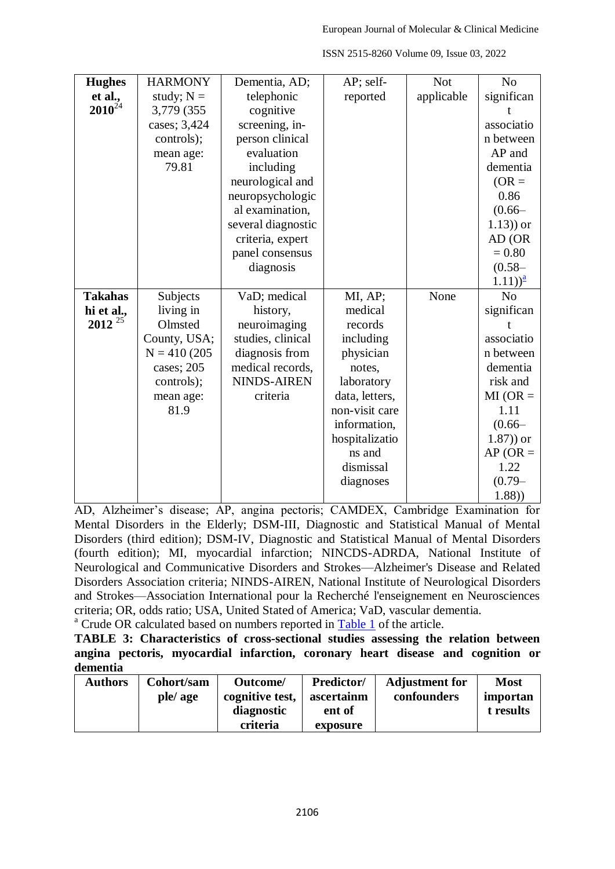| <b>Hughes</b>  | <b>HARMONY</b> | Dementia, AD;      | AP; self-      | <b>Not</b> | N <sub>0</sub> |
|----------------|----------------|--------------------|----------------|------------|----------------|
| et al.,        | study; $N =$   | telephonic         | reported       | applicable | significan     |
| $2010^{24}$    | 3,779 (355)    | cognitive          |                |            |                |
|                | cases; 3,424   | screening, in-     |                |            | associatio     |
|                | controls);     | person clinical    |                |            | n between      |
|                | mean age:      | evaluation         |                |            | AP and         |
|                | 79.81          | including          |                |            | dementia       |
|                |                | neurological and   |                |            | $(OR =$        |
|                |                | neuropsychologic   |                |            | 0.86           |
|                |                | al examination,    |                |            | $(0.66 -$      |
|                |                | several diagnostic |                |            | $(1.13)$ or    |
|                |                | criteria, expert   |                |            | AD (OR         |
|                |                | panel consensus    |                |            | $= 0.80$       |
|                |                | diagnosis          |                |            | $(0.58 -$      |
|                |                |                    |                |            | $(1.11)^{2}$   |
| <b>Takahas</b> | Subjects       | VaD; medical       | MI, AP;        | None       | N <sub>0</sub> |
| hi et al.,     | living in      | history,           | medical        |            | significan     |
| $2012^{25}$    | Olmsted        | neuroimaging       | records        |            |                |
|                | County, USA;   | studies, clinical  | including      |            | associatio     |
|                | $N = 410(205$  | diagnosis from     | physician      |            | n between      |
|                | cases; 205     | medical records,   | notes,         |            | dementia       |
|                | controls);     | <b>NINDS-AIREN</b> | laboratory     |            | risk and       |
|                | mean age:      | criteria           | data, letters, |            | $MI(OR =$      |
|                | 81.9           |                    | non-visit care |            | 1.11           |
|                |                |                    | information,   |            | $(0.66 -$      |
|                |                |                    | hospitalizatio |            | $(1.87)$ ) or  |
|                |                |                    | ns and         |            | $AP (OR =$     |
|                |                |                    | dismissal      |            | 1.22           |
|                |                |                    | diagnoses      |            | $(0.79 -$      |
|                |                |                    |                |            | (1.88)         |

AD, Alzheimer's disease; AP, angina pectoris; CAMDEX, Cambridge Examination for Mental Disorders in the Elderly; DSM-III, Diagnostic and Statistical Manual of Mental Disorders (third edition); DSM-IV, Diagnostic and Statistical Manual of Mental Disorders (fourth edition); MI, myocardial infarction; NINCDS-ADRDA, National Institute of Neurological and Communicative Disorders and Strokes—Alzheimer's Disease and Related Disorders Association criteria; NINDS-AIREN, National Institute of Neurological Disorders and Strokes—Association International pour la Recherché l'enseignement en Neurosciences criteria; OR, odds ratio; USA, United Stated of America; VaD, vascular dementia.

<sup>a</sup> Crude OR calculated based on numbers reported in [Table 1](https://www.ncbi.nlm.nih.gov/pmc/articles/PMC5590905/table/pone.0184244.t001/) of the article.

**TABLE 3: Characteristics of cross-sectional studies assessing the relation between angina pectoris, myocardial infarction, coronary heart disease and cognition or dementia**

| <b>Authors</b> | Cohort/sam | Outcome/        | <b>Predictor/</b> | <b>Adjustment for</b> | <b>Most</b> |
|----------------|------------|-----------------|-------------------|-----------------------|-------------|
|                | ple/age    | cognitive test, | ascertainm        | confounders           | importan    |
|                |            | diagnostic      | ent of            |                       | t results   |
|                |            | criteria        | exposure          |                       |             |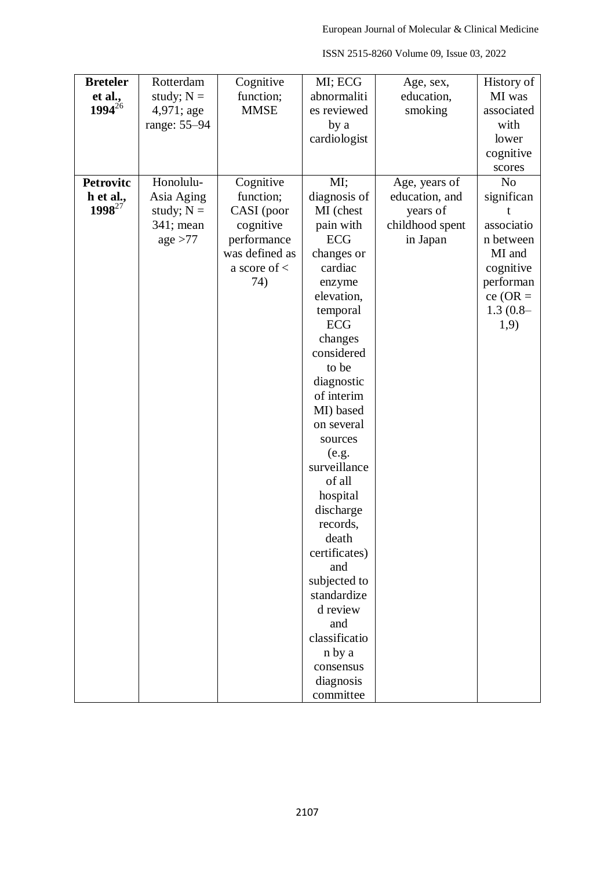| <b>Breteler</b>  | Rotterdam    | Cognitive        | MI; ECG               | Age, sex,       | History of     |
|------------------|--------------|------------------|-----------------------|-----------------|----------------|
| et al.,          | study; $N =$ | function;        | abnormaliti           | education,      | MI was         |
| $1994^{26}$      | 4,971; age   | <b>MMSE</b>      | es reviewed           | smoking         | associated     |
|                  | range: 55-94 |                  | by a                  |                 | with           |
|                  |              |                  | cardiologist          |                 | lower          |
|                  |              |                  |                       |                 | cognitive      |
|                  |              |                  |                       |                 | scores         |
| <b>Petrovitc</b> | Honolulu-    | Cognitive        | MI;                   | Age, years of   | N <sub>o</sub> |
| h et al.,        | Asia Aging   | function;        | diagnosis of          | education, and  | significan     |
| $1998^{27}$      | study; $N =$ | CASI (poor       | MI (chest             | years of        |                |
|                  | 341; mean    | cognitive        | pain with             | childhood spent | associatio     |
|                  | age > 77     | performance      | <b>ECG</b>            | in Japan        | n between      |
|                  |              | was defined as   | changes or            |                 | MI and         |
|                  |              | a score of $\lt$ | cardiac               |                 | cognitive      |
|                  |              | 74)              | enzyme                |                 | performan      |
|                  |              |                  | elevation,            |                 | $ce (OR =$     |
|                  |              |                  | temporal              |                 | $1.3(0.8-$     |
|                  |              |                  | ECG                   |                 | 1,9)           |
|                  |              |                  | changes               |                 |                |
|                  |              |                  | considered            |                 |                |
|                  |              |                  | to be                 |                 |                |
|                  |              |                  | diagnostic            |                 |                |
|                  |              |                  | of interim            |                 |                |
|                  |              |                  | MI) based             |                 |                |
|                  |              |                  | on several            |                 |                |
|                  |              |                  | sources               |                 |                |
|                  |              |                  | (e.g.<br>surveillance |                 |                |
|                  |              |                  | of all                |                 |                |
|                  |              |                  | hospital              |                 |                |
|                  |              |                  | discharge             |                 |                |
|                  |              |                  | records,              |                 |                |
|                  |              |                  | death                 |                 |                |
|                  |              |                  | certificates)         |                 |                |
|                  |              |                  | and                   |                 |                |
|                  |              |                  | subjected to          |                 |                |
|                  |              |                  | standardize           |                 |                |
|                  |              |                  | d review              |                 |                |
|                  |              |                  | and                   |                 |                |
|                  |              |                  | classificatio         |                 |                |
|                  |              |                  | n by a                |                 |                |
|                  |              |                  | consensus             |                 |                |
|                  |              |                  | diagnosis             |                 |                |
|                  |              |                  | committee             |                 |                |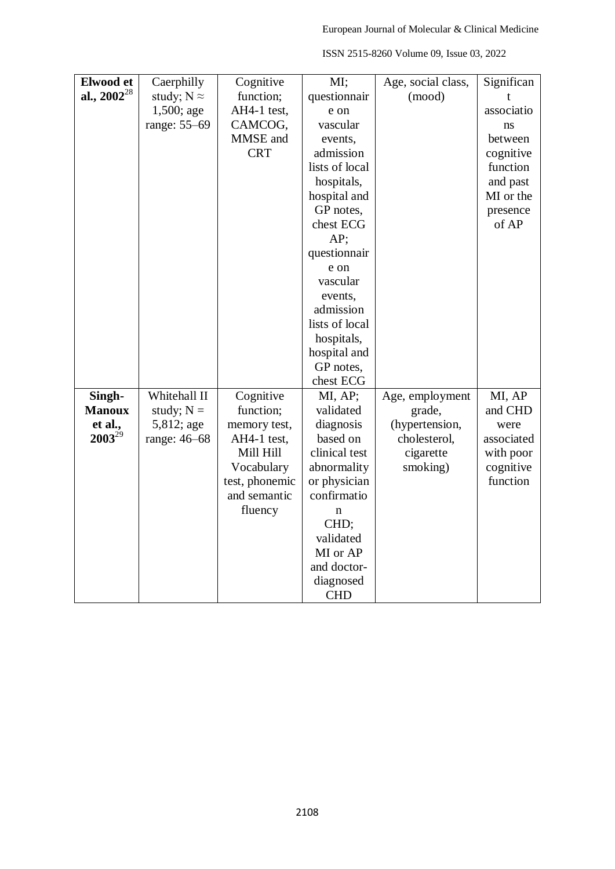| Elwood et        | Caerphilly         | Cognitive      | MI;            | Age, social class, | Significan |
|------------------|--------------------|----------------|----------------|--------------------|------------|
| al., $2002^{28}$ | study; $N \approx$ | function;      | questionnair   | (mood)             |            |
|                  | 1,500; age         | AH4-1 test,    | e on           |                    | associatio |
|                  | range: 55–69       | CAMCOG,        | vascular       |                    | ns         |
|                  |                    | MMSE and       | events,        |                    | between    |
|                  |                    | <b>CRT</b>     | admission      |                    | cognitive  |
|                  |                    |                | lists of local |                    | function   |
|                  |                    |                | hospitals,     |                    | and past   |
|                  |                    |                | hospital and   |                    | MI or the  |
|                  |                    |                | GP notes,      |                    | presence   |
|                  |                    |                | chest ECG      |                    | of AP      |
|                  |                    |                | AP;            |                    |            |
|                  |                    |                | questionnair   |                    |            |
|                  |                    |                | e on           |                    |            |
|                  |                    |                | vascular       |                    |            |
|                  |                    |                | events,        |                    |            |
|                  |                    |                | admission      |                    |            |
|                  |                    |                | lists of local |                    |            |
|                  |                    |                | hospitals,     |                    |            |
|                  |                    |                | hospital and   |                    |            |
|                  |                    |                | GP notes,      |                    |            |
|                  |                    |                | chest ECG      |                    |            |
| Singh-           | Whitehall II       | Cognitive      | MI, AP;        | Age, employment    | MI, AP     |
| <b>Manoux</b>    | study; $N =$       | function;      | validated      | grade,             | and CHD    |
| et al.,          | 5,812; age         | memory test,   | diagnosis      | (hypertension,     | were       |
| $2003^{29}$      | range: 46-68       | AH4-1 test,    | based on       | cholesterol,       | associated |
|                  |                    | Mill Hill      | clinical test  | cigarette          | with poor  |
|                  |                    | Vocabulary     | abnormality    | smoking)           | cognitive  |
|                  |                    | test, phonemic | or physician   |                    | function   |
|                  |                    | and semantic   | confirmatio    |                    |            |
|                  |                    | fluency        | $\mathbf n$    |                    |            |
|                  |                    |                | CHD;           |                    |            |
|                  |                    |                | validated      |                    |            |
|                  |                    |                | MI or AP       |                    |            |
|                  |                    |                | and doctor-    |                    |            |
|                  |                    |                | diagnosed      |                    |            |
|                  |                    |                | <b>CHD</b>     |                    |            |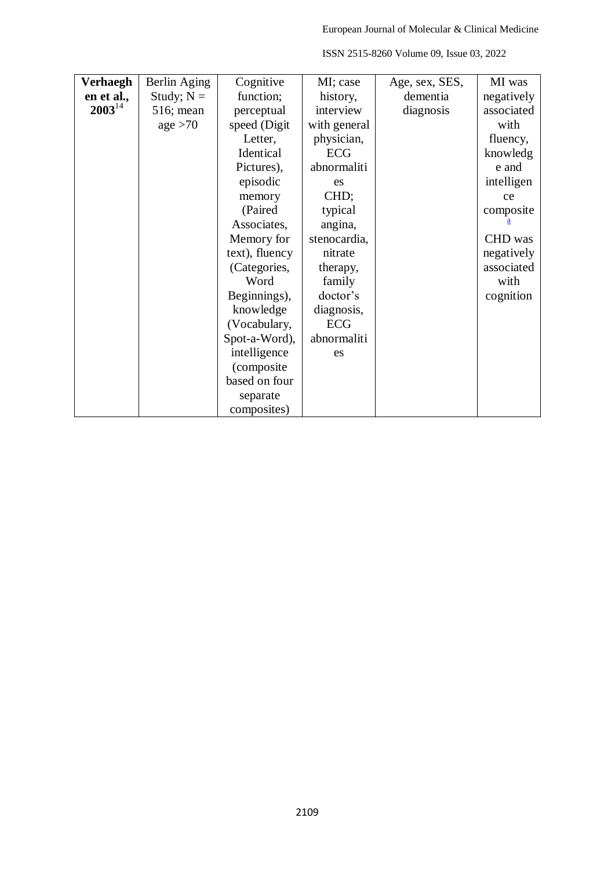| Verhaegh    | Berlin Aging | Cognitive      | MI; case     | Age, sex, SES, | MI was     |
|-------------|--------------|----------------|--------------|----------------|------------|
| en et al.,  | Study; $N =$ | function;      | history,     | dementia       | negatively |
| $2003^{14}$ | 516; mean    | perceptual     | interview    | diagnosis      | associated |
|             | age > 70     | speed (Digit   | with general |                | with       |
|             |              | Letter,        | physician,   |                | fluency,   |
|             |              | Identical      | <b>ECG</b>   |                | knowledg   |
|             |              | Pictures),     | abnormaliti  |                | e and      |
|             |              | episodic       | es           |                | intelligen |
|             |              | memory         | CHD;         |                | ce         |
|             |              | (Paired        | typical      |                | composite  |
|             |              | Associates,    | angina,      |                |            |
|             |              | Memory for     | stenocardia, |                | CHD was    |
|             |              | text), fluency | nitrate      |                | negatively |
|             |              | (Categories,   | therapy,     |                | associated |
|             |              | Word           | family       |                | with       |
|             |              | Beginnings),   | doctor's     |                | cognition  |
|             |              | knowledge      | diagnosis,   |                |            |
|             |              | (Vocabulary,   | <b>ECG</b>   |                |            |
|             |              | Spot-a-Word),  | abnormaliti  |                |            |
|             |              | intelligence   | es           |                |            |
|             |              | (composite     |              |                |            |
|             |              | based on four  |              |                |            |
|             |              | separate       |              |                |            |
|             |              | composites)    |              |                |            |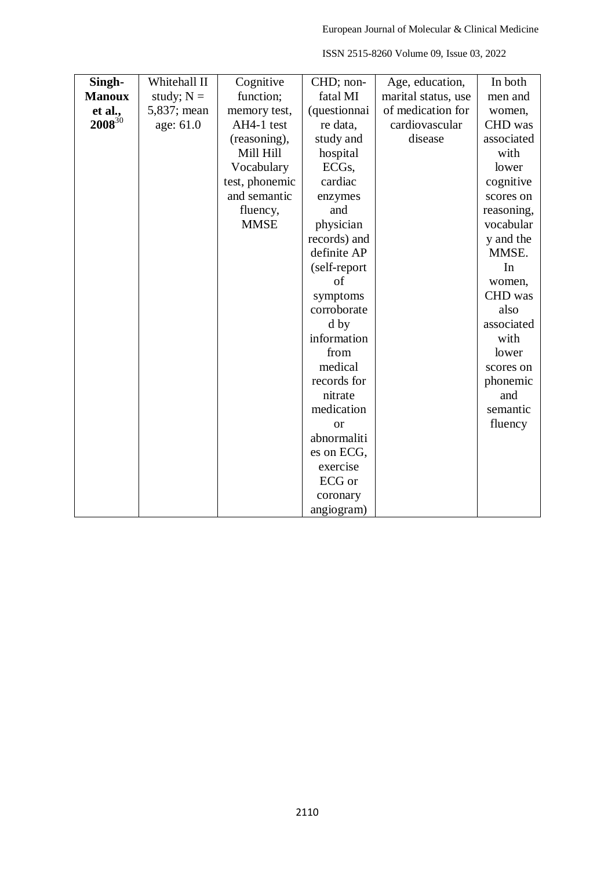| Singh-        | Whitehall II | Cognitive      | CHD; non-          | Age, education,     | In both    |
|---------------|--------------|----------------|--------------------|---------------------|------------|
| <b>Manoux</b> | study; $N =$ | function;      | fatal MI           | marital status, use | men and    |
| et al.,       | 5,837; mean  | memory test,   | (questionnai       | of medication for   | women,     |
| $2008^{30}$   | age: 61.0    | AH4-1 test     | re data,           | cardiovascular      | CHD was    |
|               |              | (reasoning),   | study and          | disease             | associated |
|               |              | Mill Hill      | hospital           |                     | with       |
|               |              | Vocabulary     | ECG <sub>s</sub> , |                     | lower      |
|               |              | test, phonemic | cardiac            |                     | cognitive  |
|               |              | and semantic   | enzymes            |                     | scores on  |
|               |              | fluency,       | and                |                     | reasoning, |
|               |              | <b>MMSE</b>    | physician          |                     | vocabular  |
|               |              |                | records) and       |                     | y and the  |
|               |              |                | definite AP        |                     | MMSE.      |
|               |              |                | (self-report       |                     | In         |
|               |              |                | of                 |                     | women,     |
|               |              |                | symptoms           |                     | CHD was    |
|               |              |                | corroborate        |                     | also       |
|               |              |                | d by               |                     | associated |
|               |              |                | information        |                     | with       |
|               |              |                | from               |                     | lower      |
|               |              |                | medical            |                     | scores on  |
|               |              |                | records for        |                     | phonemic   |
|               |              |                | nitrate            |                     | and        |
|               |              |                | medication         |                     | semantic   |
|               |              |                | <sub>or</sub>      |                     | fluency    |
|               |              |                | abnormaliti        |                     |            |
|               |              |                | es on ECG,         |                     |            |
|               |              |                | exercise           |                     |            |
|               |              |                | ECG or             |                     |            |
|               |              |                | coronary           |                     |            |
|               |              |                | angiogram)         |                     |            |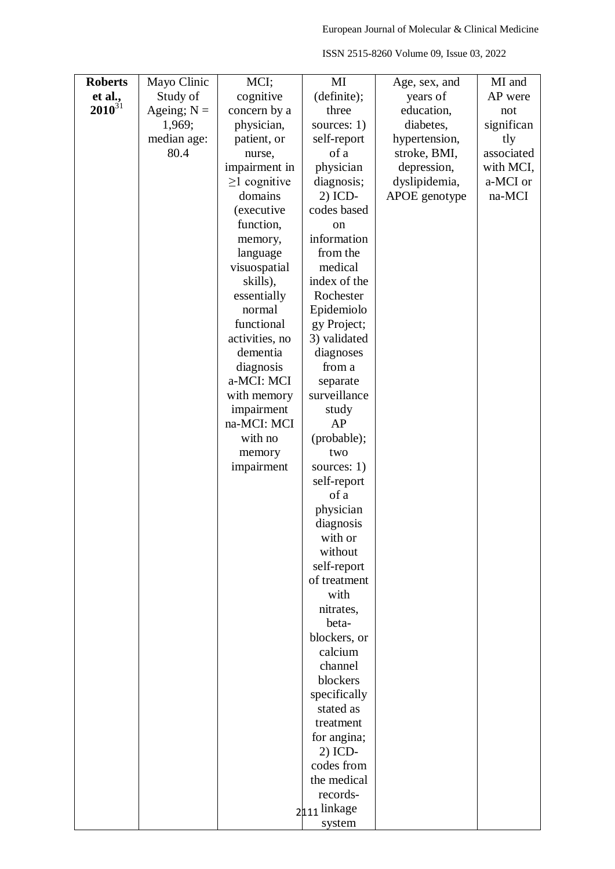| <b>Roberts</b> | Mayo Clinic   | MCI;                      | MI                  | Age, sex, and | MI and     |
|----------------|---------------|---------------------------|---------------------|---------------|------------|
| et al.,        | Study of      | cognitive                 | (definite);         | years of      | AP were    |
| $2010^{31}$    | Ageing; $N =$ | concern by a              | three               | education,    | not        |
|                | 1,969;        | physician,                | sources: 1)         | diabetes,     | significan |
|                | median age:   | patient, or               | self-report         | hypertension, | tly        |
|                | 80.4          | nurse,                    | of a                | stroke, BMI,  | associated |
|                |               | impairment in             | physician           | depression,   | with MCI,  |
|                |               | $\geq$ 1 cognitive        | diagnosis;          | dyslipidemia, | a-MCI or   |
|                |               | domains                   | 2) ICD-             | APOE genotype | na-MCI     |
|                |               | (executive                | codes based         |               |            |
|                |               | function,                 | on                  |               |            |
|                |               | memory,                   | information         |               |            |
|                |               | language                  | from the            |               |            |
|                |               | visuospatial              | medical             |               |            |
|                |               | skills),                  | index of the        |               |            |
|                |               | essentially               | Rochester           |               |            |
|                |               | normal                    | Epidemiolo          |               |            |
|                |               | functional                | gy Project;         |               |            |
|                |               | activities, no            | 3) validated        |               |            |
|                |               | dementia                  | diagnoses           |               |            |
|                |               | diagnosis                 | from a              |               |            |
|                |               | a-MCI: MCI                | separate            |               |            |
|                |               |                           | surveillance        |               |            |
|                |               | with memory               |                     |               |            |
|                |               | impairment<br>na-MCI: MCI | study<br>AP         |               |            |
|                |               | with no                   |                     |               |            |
|                |               |                           | (probable);         |               |            |
|                |               | memory                    | two                 |               |            |
|                |               | impairment                | sources: $1)$       |               |            |
|                |               |                           | self-report<br>of a |               |            |
|                |               |                           | physician           |               |            |
|                |               |                           | diagnosis           |               |            |
|                |               |                           |                     |               |            |
|                |               |                           | with or<br>without  |               |            |
|                |               |                           | self-report         |               |            |
|                |               |                           | of treatment        |               |            |
|                |               |                           | with                |               |            |
|                |               |                           | nitrates,           |               |            |
|                |               |                           | beta-               |               |            |
|                |               |                           | blockers, or        |               |            |
|                |               |                           | calcium             |               |            |
|                |               |                           | channel             |               |            |
|                |               |                           | blockers            |               |            |
|                |               |                           | specifically        |               |            |
|                |               |                           | stated as           |               |            |
|                |               |                           | treatment           |               |            |
|                |               |                           | for angina;         |               |            |
|                |               |                           | $2)$ ICD-           |               |            |
|                |               |                           | codes from          |               |            |
|                |               |                           | the medical         |               |            |
|                |               |                           | records-            |               |            |
|                |               |                           | 2111 linkage        |               |            |
|                |               |                           | system              |               |            |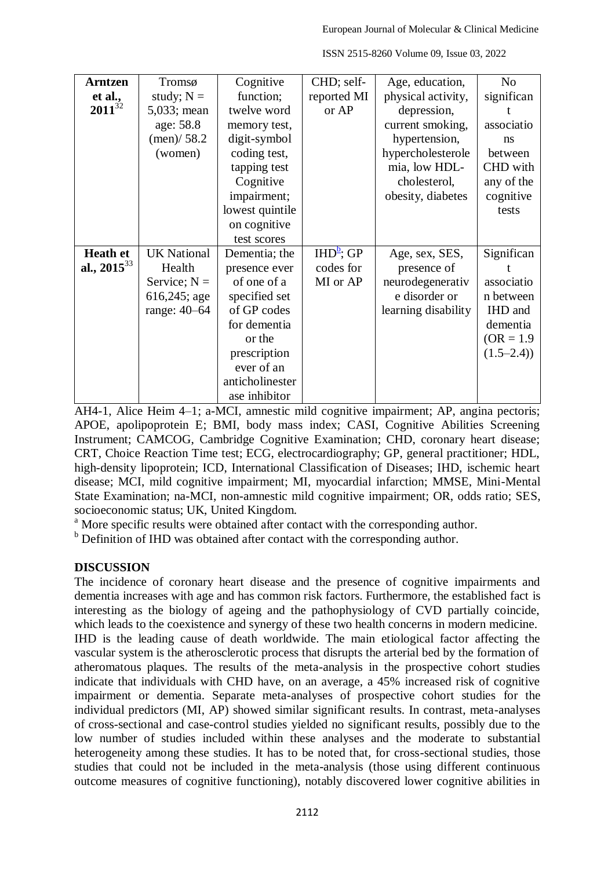| <b>Arntzen</b>   | Tromsø             | Cognitive       | CHD; self-   | Age, education,     | N <sub>o</sub> |
|------------------|--------------------|-----------------|--------------|---------------------|----------------|
| et al.,          | study; $N =$       | function;       | reported MI  | physical activity,  | significan     |
| $2011^{32}$      | 5,033; mean        | twelve word     | or AP        | depression,         |                |
|                  | age: 58.8          | memory test,    |              | current smoking,    | associatio     |
|                  | (men)/58.2         | digit-symbol    |              | hypertension,       | ns             |
|                  | (women)            | coding test,    |              | hypercholesterole   | between        |
|                  |                    | tapping test    |              | mia, low HDL-       | CHD with       |
|                  |                    | Cognitive       |              | cholesterol,        | any of the     |
|                  |                    | impairment;     |              | obesity, diabetes   | cognitive      |
|                  |                    | lowest quintile |              |                     | tests          |
|                  |                    | on cognitive    |              |                     |                |
|                  |                    | test scores     |              |                     |                |
| <b>Heath et</b>  | <b>UK National</b> | Dementia; the   | $IHD^b$ ; GP | Age, sex, SES,      | Significan     |
| al., $2015^{33}$ | Health             | presence ever   | codes for    | presence of         |                |
|                  | Service; $N =$     | of one of a     | MI or AP     | neurodegenerativ    | associatio     |
|                  | 616,245; age       | specified set   |              | e disorder or       | n between      |
|                  | range: 40-64       | of GP codes     |              | learning disability | IHD and        |
|                  |                    | for dementia    |              |                     | dementia       |
|                  |                    | or the          |              |                     | $(OR = 1.9)$   |
|                  |                    | prescription    |              |                     | $(1.5-2.4)$    |
|                  |                    | ever of an      |              |                     |                |
|                  |                    | anticholinester |              |                     |                |
|                  |                    | ase inhibitor   |              |                     |                |

AH4-1, Alice Heim 4–1; a-MCI, amnestic mild cognitive impairment; AP, angina pectoris; APOE, apolipoprotein E; BMI, body mass index; CASI, Cognitive Abilities Screening Instrument; CAMCOG, Cambridge Cognitive Examination; CHD, coronary heart disease; CRT, Choice Reaction Time test; ECG, electrocardiography; GP, general practitioner; HDL, high-density lipoprotein; ICD, International Classification of Diseases; IHD, ischemic heart disease; MCI, mild cognitive impairment; MI, myocardial infarction; MMSE, Mini-Mental State Examination; na-MCI, non-amnestic mild cognitive impairment; OR, odds ratio; SES, socioeconomic status; UK, United Kingdom.

<sup>a</sup> More specific results were obtained after contact with the corresponding author.

 $<sup>b</sup>$  Definition of IHD was obtained after contact with the corresponding author.</sup>

## **DISCUSSION**

The incidence of coronary heart disease and the presence of cognitive impairments and dementia increases with age and has common risk factors. Furthermore, the established fact is interesting as the biology of ageing and the pathophysiology of CVD partially coincide, which leads to the coexistence and synergy of these two health concerns in modern medicine. IHD is the leading cause of death worldwide. The main etiological factor affecting the vascular system is the atherosclerotic process that disrupts the arterial bed by the formation of atheromatous plaques. The results of the meta-analysis in the prospective cohort studies indicate that individuals with CHD have, on an average, a 45% increased risk of cognitive impairment or dementia. Separate meta-analyses of prospective cohort studies for the individual predictors (MI, AP) showed similar significant results. In contrast, meta-analyses of cross-sectional and case-control studies yielded no significant results, possibly due to the low number of studies included within these analyses and the moderate to substantial heterogeneity among these studies. It has to be noted that, for cross-sectional studies, those studies that could not be included in the meta-analysis (those using different continuous outcome measures of cognitive functioning), notably discovered lower cognitive abilities in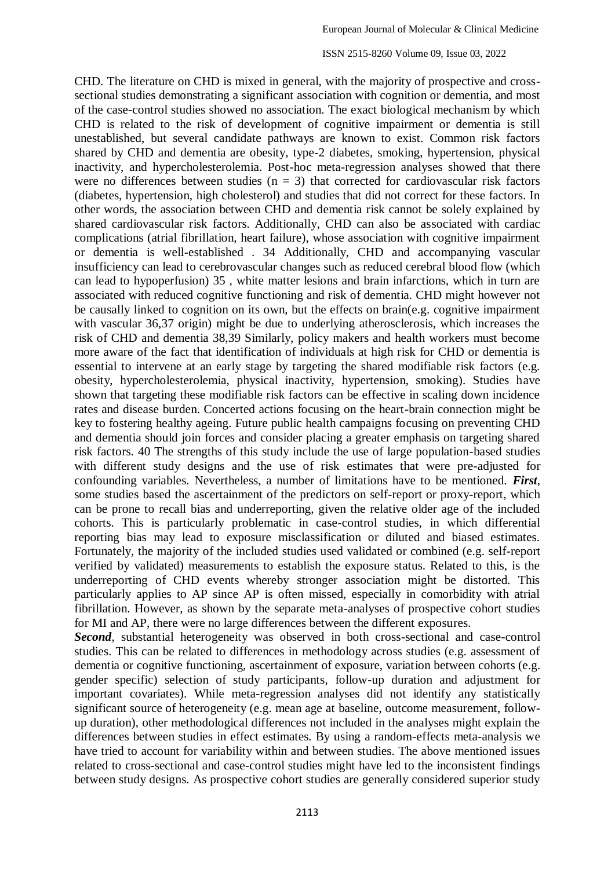CHD. The literature on CHD is mixed in general, with the majority of prospective and crosssectional studies demonstrating a significant association with cognition or dementia, and most of the case-control studies showed no association. The exact biological mechanism by which CHD is related to the risk of development of cognitive impairment or dementia is still unestablished, but several candidate pathways are known to exist. Common risk factors shared by CHD and dementia are obesity, type-2 diabetes, smoking, hypertension, physical inactivity, and hypercholesterolemia. Post-hoc meta-regression analyses showed that there were no differences between studies  $(n = 3)$  that corrected for cardiovascular risk factors (diabetes, hypertension, high cholesterol) and studies that did not correct for these factors. In other words, the association between CHD and dementia risk cannot be solely explained by shared cardiovascular risk factors. Additionally, CHD can also be associated with cardiac complications (atrial fibrillation, heart failure), whose association with cognitive impairment or dementia is well-established . 34 Additionally, CHD and accompanying vascular insufficiency can lead to cerebrovascular changes such as reduced cerebral blood flow (which can lead to hypoperfusion) 35 , white matter lesions and brain infarctions, which in turn are associated with reduced cognitive functioning and risk of dementia. CHD might however not be causally linked to cognition on its own, but the effects on brain(e.g. cognitive impairment with vascular 36.37 origin) might be due to underlying atherosclerosis, which increases the risk of CHD and dementia 38,39 Similarly, policy makers and health workers must become more aware of the fact that identification of individuals at high risk for CHD or dementia is essential to intervene at an early stage by targeting the shared modifiable risk factors (e.g. obesity, hypercholesterolemia, physical inactivity, hypertension, smoking). Studies have shown that targeting these modifiable risk factors can be effective in scaling down incidence rates and disease burden. Concerted actions focusing on the heart-brain connection might be key to fostering healthy ageing. Future public health campaigns focusing on preventing CHD and dementia should join forces and consider placing a greater emphasis on targeting shared risk factors. 40 The strengths of this study include the use of large population-based studies with different study designs and the use of risk estimates that were pre-adjusted for confounding variables. Nevertheless, a number of limitations have to be mentioned. *First*, some studies based the ascertainment of the predictors on self-report or proxy-report, which can be prone to recall bias and underreporting, given the relative older age of the included cohorts. This is particularly problematic in case-control studies, in which differential reporting bias may lead to exposure misclassification or diluted and biased estimates. Fortunately, the majority of the included studies used validated or combined (e.g. self-report verified by validated) measurements to establish the exposure status. Related to this, is the underreporting of CHD events whereby stronger association might be distorted. This particularly applies to AP since AP is often missed, especially in comorbidity with atrial fibrillation. However, as shown by the separate meta-analyses of prospective cohort studies for MI and AP, there were no large differences between the different exposures.

*Second*, substantial heterogeneity was observed in both cross-sectional and case-control studies. This can be related to differences in methodology across studies (e.g. assessment of dementia or cognitive functioning, ascertainment of exposure, variation between cohorts (e.g. gender specific) selection of study participants, follow-up duration and adjustment for important covariates). While meta-regression analyses did not identify any statistically significant source of heterogeneity (e.g. mean age at baseline, outcome measurement, followup duration), other methodological differences not included in the analyses might explain the differences between studies in effect estimates. By using a random-effects meta-analysis we have tried to account for variability within and between studies. The above mentioned issues related to cross-sectional and case-control studies might have led to the inconsistent findings between study designs. As prospective cohort studies are generally considered superior study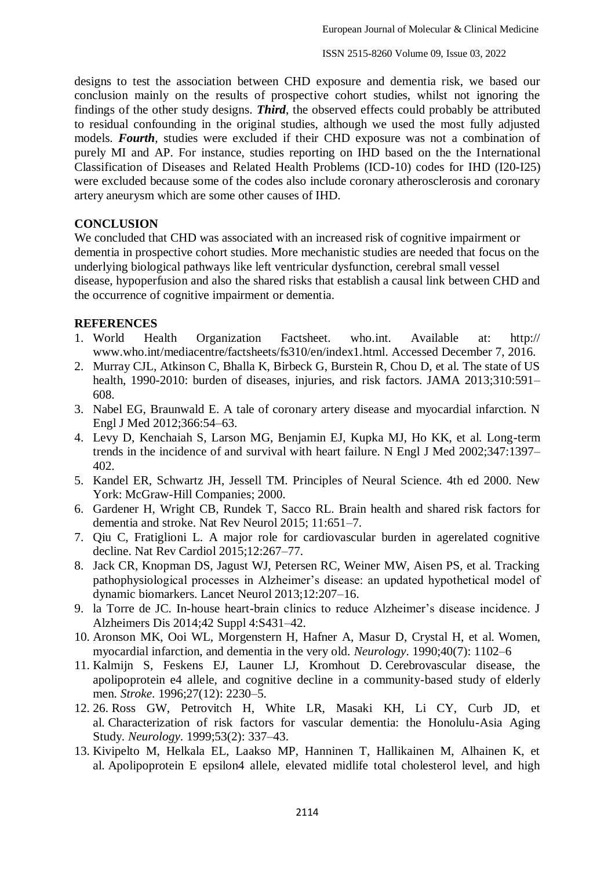designs to test the association between CHD exposure and dementia risk, we based our conclusion mainly on the results of prospective cohort studies, whilst not ignoring the findings of the other study designs. *Third*, the observed effects could probably be attributed to residual confounding in the original studies, although we used the most fully adjusted models. *Fourth*, studies were excluded if their CHD exposure was not a combination of purely MI and AP. For instance, studies reporting on IHD based on the the International Classification of Diseases and Related Health Problems (ICD-10) codes for IHD (I20-I25) were excluded because some of the codes also include coronary atherosclerosis and coronary artery aneurysm which are some other causes of IHD.

## **CONCLUSION**

We concluded that CHD was associated with an increased risk of cognitive impairment or dementia in prospective cohort studies. More mechanistic studies are needed that focus on the underlying biological pathways like left ventricular dysfunction, cerebral small vessel disease, hypoperfusion and also the shared risks that establish a causal link between CHD and the occurrence of cognitive impairment or dementia.

## **REFERENCES**

- 1. World Health Organization Factsheet. who.int. Available at: http:// www.who.int/mediacentre/factsheets/fs310/en/index1.html. Accessed December 7, 2016.
- 2. Murray CJL, Atkinson C, Bhalla K, Birbeck G, Burstein R, Chou D, et al. The state of US health, 1990-2010: burden of diseases, injuries, and risk factors. JAMA 2013;310:591– 608.
- 3. Nabel EG, Braunwald E. A tale of coronary artery disease and myocardial infarction. N Engl J Med 2012;366:54–63.
- 4. Levy D, Kenchaiah S, Larson MG, Benjamin EJ, Kupka MJ, Ho KK, et al. Long-term trends in the incidence of and survival with heart failure. N Engl J Med 2002;347:1397– 402.
- 5. Kandel ER, Schwartz JH, Jessell TM. Principles of Neural Science. 4th ed 2000. New York: McGraw-Hill Companies; 2000.
- 6. Gardener H, Wright CB, Rundek T, Sacco RL. Brain health and shared risk factors for dementia and stroke. Nat Rev Neurol 2015; 11:651–7.
- 7. Qiu C, Fratiglioni L. A major role for cardiovascular burden in agerelated cognitive decline. Nat Rev Cardiol 2015;12:267–77.
- 8. Jack CR, Knopman DS, Jagust WJ, Petersen RC, Weiner MW, Aisen PS, et al. Tracking pathophysiological processes in Alzheimer's disease: an updated hypothetical model of dynamic biomarkers. Lancet Neurol 2013;12:207–16.
- 9. la Torre de JC. In-house heart-brain clinics to reduce Alzheimer's disease incidence. J Alzheimers Dis 2014;42 Suppl 4:S431–42.
- 10. Aronson MK, Ooi WL, Morgenstern H, Hafner A, Masur D, Crystal H, et al. Women, myocardial infarction, and dementia in the very old. *Neurology*. 1990;40(7): 1102–6
- 11. Kalmijn S, Feskens EJ, Launer LJ, Kromhout D. Cerebrovascular disease, the apolipoprotein e4 allele, and cognitive decline in a community-based study of elderly men. *Stroke*. 1996;27(12): 2230–5.
- 12. 26. Ross GW, Petrovitch H, White LR, Masaki KH, Li CY, Curb JD, et al. Characterization of risk factors for vascular dementia: the Honolulu-Asia Aging Study. *Neurology*. 1999;53(2): 337–43.
- 13. Kivipelto M, Helkala EL, Laakso MP, Hanninen T, Hallikainen M, Alhainen K, et al. Apolipoprotein E epsilon4 allele, elevated midlife total cholesterol level, and high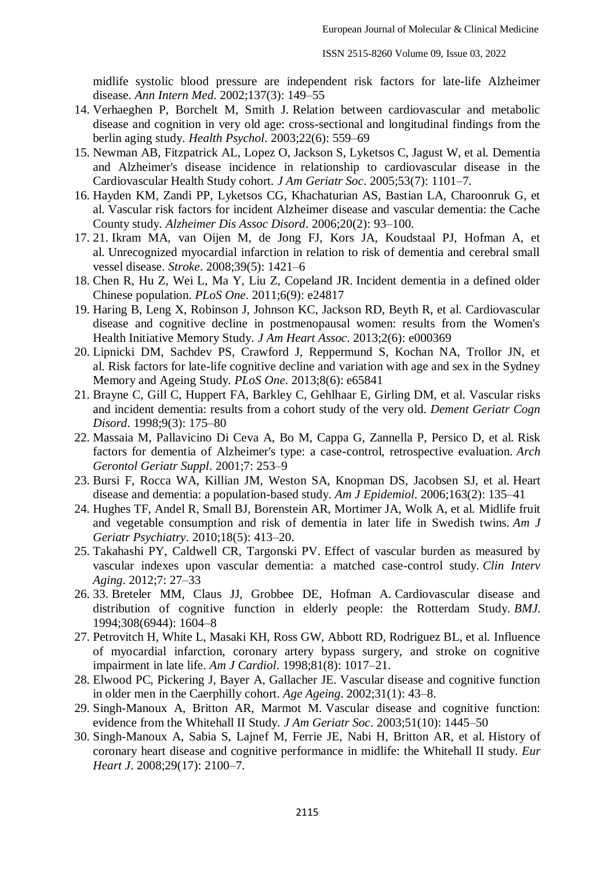midlife systolic blood pressure are independent risk factors for late-life Alzheimer disease. *Ann Intern Med*. 2002;137(3): 149–55

- 14. Verhaeghen P, Borchelt M, Smith J. Relation between cardiovascular and metabolic disease and cognition in very old age: cross-sectional and longitudinal findings from the berlin aging study. *Health Psychol*. 2003;22(6): 559–69
- 15. Newman AB, Fitzpatrick AL, Lopez O, Jackson S, Lyketsos C, Jagust W, et al. Dementia and Alzheimer's disease incidence in relationship to cardiovascular disease in the Cardiovascular Health Study cohort. *J Am Geriatr Soc*. 2005;53(7): 1101–7.
- 16. Hayden KM, Zandi PP, Lyketsos CG, Khachaturian AS, Bastian LA, Charoonruk G, et al. Vascular risk factors for incident Alzheimer disease and vascular dementia: the Cache County study. *Alzheimer Dis Assoc Disord*. 2006;20(2): 93–100.
- 17. 21. Ikram MA, van Oijen M, de Jong FJ, Kors JA, Koudstaal PJ, Hofman A, et al. Unrecognized myocardial infarction in relation to risk of dementia and cerebral small vessel disease. *Stroke*. 2008;39(5): 1421–6
- 18. Chen R, Hu Z, Wei L, Ma Y, Liu Z, Copeland JR. Incident dementia in a defined older Chinese population. *PLoS One*. 2011;6(9): e24817
- 19. Haring B, Leng X, Robinson J, Johnson KC, Jackson RD, Beyth R, et al. Cardiovascular disease and cognitive decline in postmenopausal women: results from the Women's Health Initiative Memory Study. *J Am Heart Assoc*. 2013;2(6): e000369
- 20. Lipnicki DM, Sachdev PS, Crawford J, Reppermund S, Kochan NA, Trollor JN, et al. Risk factors for late-life cognitive decline and variation with age and sex in the Sydney Memory and Ageing Study. *PLoS One*. 2013;8(6): e65841
- 21. Brayne C, Gill C, Huppert FA, Barkley C, Gehlhaar E, Girling DM, et al. Vascular risks and incident dementia: results from a cohort study of the very old. *Dement Geriatr Cogn Disord*. 1998;9(3): 175–80
- 22. Massaia M, Pallavicino Di Ceva A, Bo M, Cappa G, Zannella P, Persico D, et al. Risk factors for dementia of Alzheimer's type: a case-control, retrospective evaluation. *Arch Gerontol Geriatr Suppl*. 2001;7: 253–9
- 23. Bursi F, Rocca WA, Killian JM, Weston SA, Knopman DS, Jacobsen SJ, et al. Heart disease and dementia: a population-based study. *Am J Epidemiol*. 2006;163(2): 135–41
- 24. Hughes TF, Andel R, Small BJ, Borenstein AR, Mortimer JA, Wolk A, et al. Midlife fruit and vegetable consumption and risk of dementia in later life in Swedish twins. *Am J Geriatr Psychiatry*. 2010;18(5): 413–20.
- 25. Takahashi PY, Caldwell CR, Targonski PV. Effect of vascular burden as measured by vascular indexes upon vascular dementia: a matched case-control study. *Clin Interv Aging*. 2012;7: 27–33
- 26. 33. Breteler MM, Claus JJ, Grobbee DE, Hofman A. Cardiovascular disease and distribution of cognitive function in elderly people: the Rotterdam Study. *BMJ*. 1994;308(6944): 1604–8
- 27. Petrovitch H, White L, Masaki KH, Ross GW, Abbott RD, Rodriguez BL, et al. Influence of myocardial infarction, coronary artery bypass surgery, and stroke on cognitive impairment in late life. *Am J Cardiol*. 1998;81(8): 1017–21.
- 28. Elwood PC, Pickering J, Bayer A, Gallacher JE. Vascular disease and cognitive function in older men in the Caerphilly cohort. *Age Ageing*. 2002;31(1): 43–8.
- 29. Singh-Manoux A, Britton AR, Marmot M. Vascular disease and cognitive function: evidence from the Whitehall II Study. *J Am Geriatr Soc*. 2003;51(10): 1445–50
- 30. Singh-Manoux A, Sabia S, Lajnef M, Ferrie JE, Nabi H, Britton AR, et al. History of coronary heart disease and cognitive performance in midlife: the Whitehall II study. *Eur Heart J*. 2008;29(17): 2100–7.